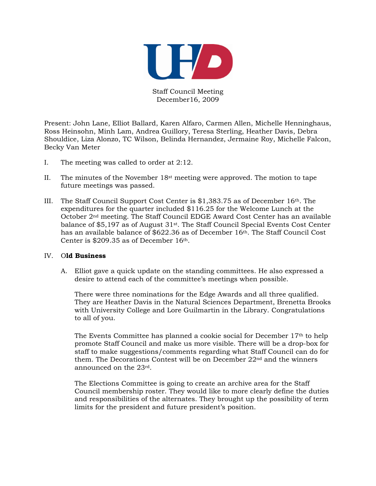

Staff Council Meeting December16, 2009

Present: John Lane, Elliot Ballard, Karen Alfaro, Carmen Allen, Michelle Henninghaus, Ross Heinsohn, Minh Lam, Andrea Guillory, Teresa Sterling, Heather Davis, Debra Shouldice, Liza Alonzo, TC Wilson, Belinda Hernandez, Jermaine Roy, Michelle Falcon, Becky Van Meter

- I. The meeting was called to order at 2:12.
- II. The minutes of the November  $18<sup>st</sup>$  meeting were approved. The motion to tape future meetings was passed.
- III. The Staff Council Support Cost Center is  $$1,383.75$  as of December 16<sup>th</sup>. The expenditures for the quarter included \$116.25 for the Welcome Lunch at the October 2nd meeting. The Staff Council EDGE Award Cost Center has an available balance of \$5,197 as of August 31st. The Staff Council Special Events Cost Center has an available balance of \$622.36 as of December 16th. The Staff Council Cost Center is \$209.35 as of December 16th.

## IV. O**ld Business**

A. Elliot gave a quick update on the standing committees. He also expressed a desire to attend each of the committee's meetings when possible.

There were three nominations for the Edge Awards and all three qualified. They are Heather Davis in the Natural Sciences Department, Brenetta Brooks with University College and Lore Guilmartin in the Library. Congratulations to all of you.

The Events Committee has planned a cookie social for December 17th to help promote Staff Council and make us more visible. There will be a drop-box for staff to make suggestions/comments regarding what Staff Council can do for them. The Decorations Contest will be on December 22nd and the winners announced on the 23rd.

The Elections Committee is going to create an archive area for the Staff Council membership roster. They would like to more clearly define the duties and responsibilities of the alternates. They brought up the possibility of term limits for the president and future president's position.